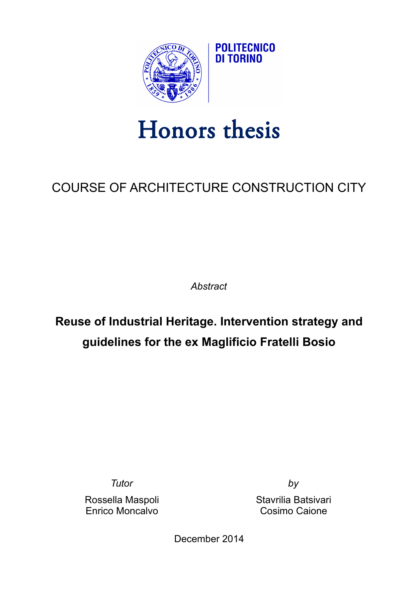

## Honors thesis

## COURSE OF ARCHITECTURE CONSTRUCTION CITY

*Abstract*

## **Reuse of Industrial Heritage. Intervention strategy and guidelines for the ex Maglificio Fratelli Bosio**

*Tutor by*

Enrico Moncalvo Cosimo Caione

Rossella Maspoli Stavrilia Batsivari

December 2014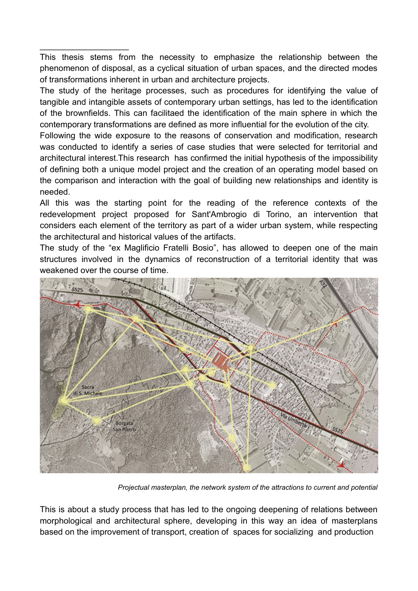This thesis stems from the necessity to emphasize the relationship between the phenomenon of disposal, as a cyclical situation of urban spaces, and the directed modes of transformations inherent in urban and architecture projects.

\_\_\_\_\_\_\_\_\_\_\_\_\_\_\_\_\_\_\_

The study of the heritage processes, such as procedures for identifying the value of tangible and intangible assets of contemporary urban settings, has led to the identification of the brownfields. This can facilitaed the identification of the main sphere in which the contemporary transformations are defined as more influential for the evolution of the city.

Following the wide exposure to the reasons of conservation and modification, research was conducted to identify a series of case studies that were selected for territorial and architectural interest.This research has confirmed the initial hypothesis of the impossibility of defining both a unique model project and the creation of an operating model based on the comparison and interaction with the goal of building new relationships and identity is needed.

All this was the starting point for the reading of the reference contexts of the redevelopment project proposed for Sant'Ambrogio di Torino, an intervention that considers each element of the territory as part of a wider urban system, while respecting the architectural and historical values of the artifacts.

The study of the "ex Maglificio Fratelli Bosio", has allowed to deepen one of the main structures involved in the dynamics of reconstruction of a territorial identity that was weakened over the course of time.



*Projectual masterplan, the network system of the attractions to current and potential*

This is about a study process that has led to the ongoing deepening of relations between morphological and architectural sphere, developing in this way an idea of masterplans based on the improvement of transport, creation of spaces for socializing and production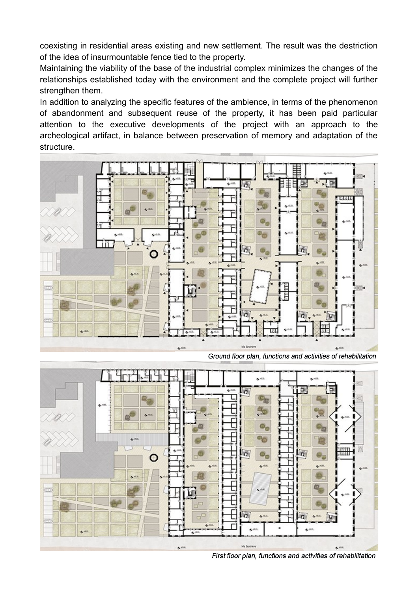coexisting in residential areas existing and new settlement. The result was the destriction of the idea of insurmountable fence tied to the property.

Maintaining the viability of the base of the industrial complex minimizes the changes of the relationships established today with the environment and the complete project will further strengthen them.

In addition to analyzing the specific features of the ambience, in terms of the phenomenon of abandonment and subsequent reuse of the property, it has been paid particular attention to the executive developments of the project with an approach to the archeological artifact, in balance between preservation of memory and adaptation of the structure.



Ground floor plan, functions and activities of rehabilitation



First floor plan, functions and activities of rehabilitation